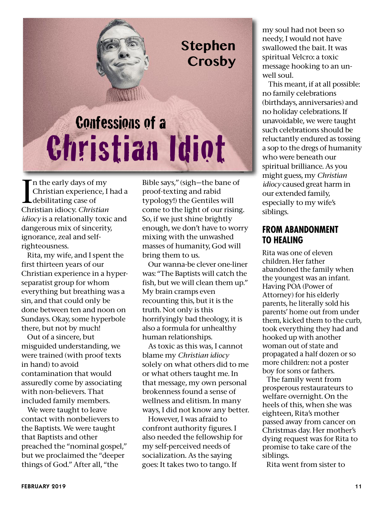

In the early days of my<br>Christian experience, I<br>debilitating case of<br>Christian idiocy. *Christian* n the early days of my Christian experience, I had a debilitating case of *idiocy* is a relationally toxic and dangerous mix of sincerity, ignorance, zeal and selfrighteousness.

Rita, my wife, and I spent the first thirteen years of our Christian experience in a hyperseparatist group for whom everything but breathing was a sin, and that could only be done between ten and noon on Sundays. Okay, some hyperbole there, but not by much!

Out of a sincere, but misguided understanding, we were trained (with proof texts in hand) to avoid contamination that would assuredly come by associating with non-believers. That included family members.

We were taught to leave contact with nonbelievers to the Baptists. We were taught that Baptists and other preached the "nominal gospel," but we proclaimed the "deeper things of God." After all, "the

Bible says," (sigh—the bane of proof-texting and rabid typology!) the Gentiles will come to the light of our rising. So, if we just shine brightly enough, we don't have to worry mixing with the unwashed masses of humanity, God will bring them to us.

Our wanna-be clever one-liner was: "The Baptists will catch the fish, but we will clean them up." My brain cramps even recounting this, but it is the truth. Not only is this horrifyingly bad theology, it is also a formula for unhealthy human relationships.

As toxic as this was, I cannot blame my *Christian idiocy* solely on what others did to me or what others taught me. In that message, my own personal brokenness found a sense of wellness and elitism. In many ways, I did not know any better.

However, I was afraid to confront authority figures. I also needed the fellowship for my self-perceived needs of socialization. As the saying goes: It takes two to tango. If

my soul had not been so needy, I would not have swallowed the bait. It was spiritual Velcro: a toxic message hooking to an unwell soul.

This meant, if at all possible: no family celebrations (birthdays, anniversaries) and no holiday celebrations. If unavoidable, we were taught such celebrations should be reluctantly endured as tossing a sop to the dregs of humanity who were beneath our spiritual brilliance. As you might guess, my *Christian idiocy* caused great harm in our extended family, especially to my wife's siblings.

## **FROM ABANDONMENT TO HEALING**

Rita was one of eleven children. Her father abandoned the family when the youngest was an infant. Having POA (Power of Attorney) for his elderly parents, he literally sold his parents' home out from under them, kicked them to the curb, took everything they had and hooked up with another woman out of state and propagated a half dozen or so more children: not a poster boy for sons or fathers.

The family went from prosperous restaurateurs to welfare overnight. On the heels of this, when she was eighteen, Rita's mother passed away from cancer on Christmas day. Her mother's dying request was for Rita to promise to take care of the siblings.

Rita went from sister to